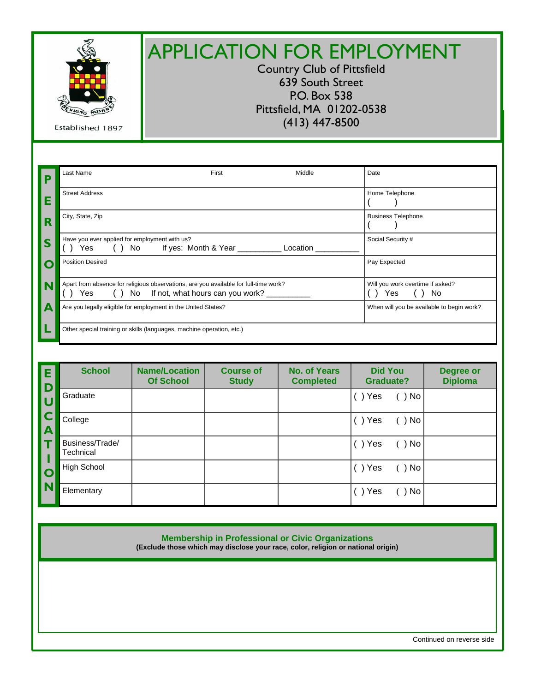| Established 1897 |                                                                         | <b>APPLICATION FOR EMPLOYMENT</b><br><b>Country Club of Pittsfield</b><br><b>639 South Street</b><br>P.O. Box 538<br>Pittsfield, MA 01202-0538<br>$(413)$ 447-8500 |                                                         |                           |
|------------------|-------------------------------------------------------------------------|--------------------------------------------------------------------------------------------------------------------------------------------------------------------|---------------------------------------------------------|---------------------------|
| P                | Last Name                                                               | First                                                                                                                                                              | Middle                                                  | Date                      |
| E                | <b>Street Address</b>                                                   |                                                                                                                                                                    |                                                         | Home Telephone            |
| R                | City, State, Zip                                                        |                                                                                                                                                                    |                                                         | <b>Business Telephone</b> |
| S                | Have you ever applied for employment with us?<br>$()$ No<br>() Yes ____ | If yes: Month & Year _______________ Location _                                                                                                                    | Social Security #                                       |                           |
| $\bullet$        | <b>Position Desired</b>                                                 |                                                                                                                                                                    | Pay Expected                                            |                           |
|                  | ( )<br>No<br>) Yes                                                      | Apart from absence for religious observations, are you available for full-time work?<br>If not, what hours can you work?                                           | Will you work overtime if asked?<br>() Yes<br>( )<br>No |                           |
|                  |                                                                         | Are you legally eligible for employment in the United States?                                                                                                      | When will you be available to begin work?               |                           |
|                  |                                                                         | Other special training or skills (languages, machine operation, etc.)                                                                                              |                                                         |                           |

| E<br>ID.<br>lU<br>IC.<br><b>A</b><br><b>O</b><br><b>N</b> | <b>School</b>                | <b>Name/Location</b><br><b>Of School</b> | <b>Course of</b><br><b>Study</b> | <b>No. of Years</b><br><b>Completed</b> | <b>Did You</b><br><b>Graduate?</b> | Degree or<br><b>Diploma</b> |
|-----------------------------------------------------------|------------------------------|------------------------------------------|----------------------------------|-----------------------------------------|------------------------------------|-----------------------------|
|                                                           | Graduate                     |                                          |                                  |                                         | $( )$ No<br>Yes                    |                             |
|                                                           | College                      |                                          |                                  |                                         | $( )$ No<br>) Yes                  |                             |
|                                                           | Business/Trade/<br>Technical |                                          |                                  |                                         | $( )$ No<br>) Yes                  |                             |
|                                                           | <b>High School</b>           |                                          |                                  |                                         | $( )$ No<br>) Yes                  |                             |
|                                                           | Elementary                   |                                          |                                  |                                         | $( )$ No<br>) Yes                  |                             |

**Membership in Professional or Civic Organizations (Exclude those which may disclose your race, color, religion or national origin)** 

Continued on reverse side